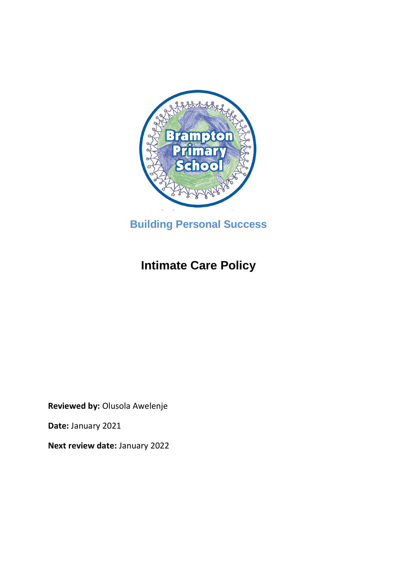

**Building Personal Success**

# **Intimate Care Policy**

**Reviewed by:** Olusola Awelenje

**Date:** January 2021

**Next review date:** January 2022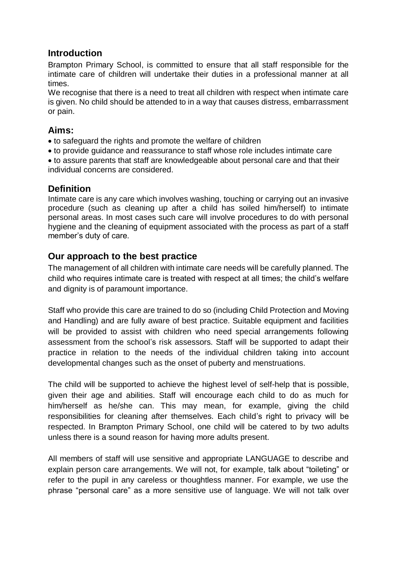## **Introduction**

Brampton Primary School, is committed to ensure that all staff responsible for the intimate care of children will undertake their duties in a professional manner at all times.

We recognise that there is a need to treat all children with respect when intimate care is given. No child should be attended to in a way that causes distress, embarrassment or pain.

## **Aims:**

- to safeguard the rights and promote the welfare of children
- to provide guidance and reassurance to staff whose role includes intimate care

 to assure parents that staff are knowledgeable about personal care and that their individual concerns are considered.

## **Definition**

Intimate care is any care which involves washing, touching or carrying out an invasive procedure (such as cleaning up after a child has soiled him/herself) to intimate personal areas. In most cases such care will involve procedures to do with personal hygiene and the cleaning of equipment associated with the process as part of a staff member's duty of care.

## **Our approach to the best practice**

The management of all children with intimate care needs will be carefully planned. The child who requires intimate care is treated with respect at all times; the child's welfare and dignity is of paramount importance.

Staff who provide this care are trained to do so (including Child Protection and Moving and Handling) and are fully aware of best practice. Suitable equipment and facilities will be provided to assist with children who need special arrangements following assessment from the school's risk assessors. Staff will be supported to adapt their practice in relation to the needs of the individual children taking into account developmental changes such as the onset of puberty and menstruations.

The child will be supported to achieve the highest level of self-help that is possible, given their age and abilities. Staff will encourage each child to do as much for him/herself as he/she can. This may mean, for example, giving the child responsibilities for cleaning after themselves. Each child's right to privacy will be respected. In Brampton Primary School, one child will be catered to by two adults unless there is a sound reason for having more adults present.

All members of staff will use sensitive and appropriate LANGUAGE to describe and explain person care arrangements. We will not, for example, talk about "toileting" or refer to the pupil in any careless or thoughtless manner. For example, we use the phrase "personal care" as a more sensitive use of language. We will not talk over